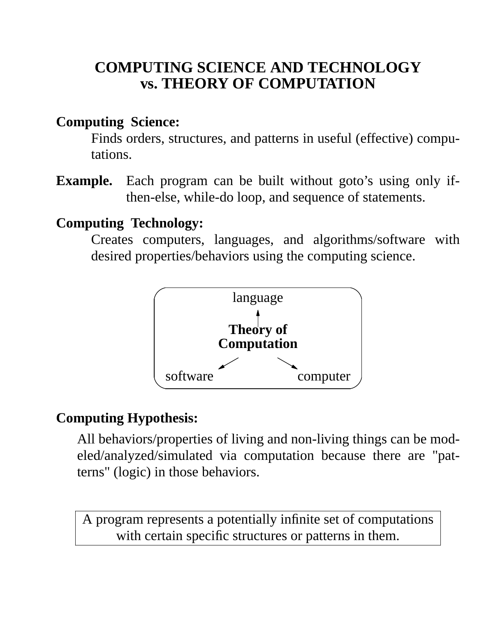# **COMPUTING SCIENCE AND TECHNOLOGY vs. THEORY OF COMPUTATION**

#### **Computing Science:**

Finds orders, structures, and patterns in useful (effective) computations.

**Example.** Each program can be built without goto's using only ifthen-else, while-do loop, and sequence of statements.

#### **Computing Technology:**

Creates computers, languages, and algorithms/software with desired properties/behaviors using the computing science.



#### **Computing Hypothesis:**

All behaviors/properties of living and non-living things can be modeled/analyzed/simulated via computation because there are "patterns" (logic) in those behaviors.

A program represents a potentially infinite set of computations with certain specific structures or patterns in them.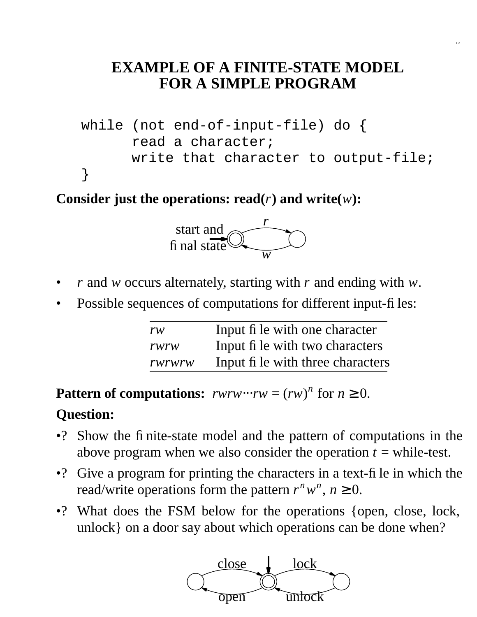## **EXAMPLE OF A FINITE-STATE MODEL FOR A SIMPLE PROGRAM**

1.2

```
while (not end-of-input-file) do {
      read a character;
      write that character to output-file;
}
```
**Consider just the operations: read(** $r$ **) and write(** $w$ **):** 



- *r* and *w* occurs alternately, starting with *r* and ending with *w*.
- Possible sequences of computations for different input-files:

| rw     | Input fi le with one character    |
|--------|-----------------------------------|
| rwrw   | Input fi le with two characters   |
| rwrwrw | Input fi le with three characters |

**Pattern of computations:**  $rwrw \cdot \cdot \cdot rw = (rw)^n$  for  $n \ge 0$ .

#### **Question:**

- •? Show the finite-state model and the pattern of computations in the above program when we also consider the operation  $t =$  while-test.
- •? Give a program for printing the characters in a text-file in which the read/write operations form the pattern  $r^n w^n$ ,  $n \ge 0$ .
- •? What does the FSM below for the operations {open, close, lock, unlock} on a door say about which operations can be done when?

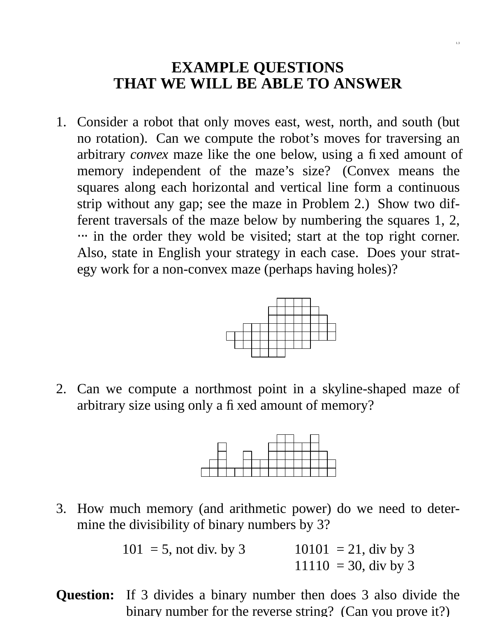## **EXAMPLE QUESTIONS THAT WE WILL BE ABLE TO ANSWER**

1.3

1. Consider a robot that only moves east, west, north, and south (but no rotation). Can we compute the robot's moves for traversing an arbitrary *convex* maze like the one below, using a fixed amount of memory independent of the maze's size? (Convex means the squares along each horizontal and vertical line form a continuous strip without any gap; see the maze in Problem 2.) Show two different traversals of the maze below by numbering the squares 1, 2, ... in the order they wold be visited; start at the top right corner. Also, state in English your strategy in each case. Does your strategy work for a non-convex maze (perhaps having holes)?



2. Can we compute a northmost point in a skyline-shaped maze of arbitrary size using only a fixed amount of memory?



3. How much memory (and arithmetic power) do we need to determine the divisibility of binary numbers by 3?

| $101 = 5$ , not div. by 3 | $10101 = 21$ , div by 3 |
|---------------------------|-------------------------|
|                           | $11110 = 30$ , div by 3 |

**Question:** If 3 divides a binary number then does 3 also divide the binary number for the reverse string? (Can you prove it?)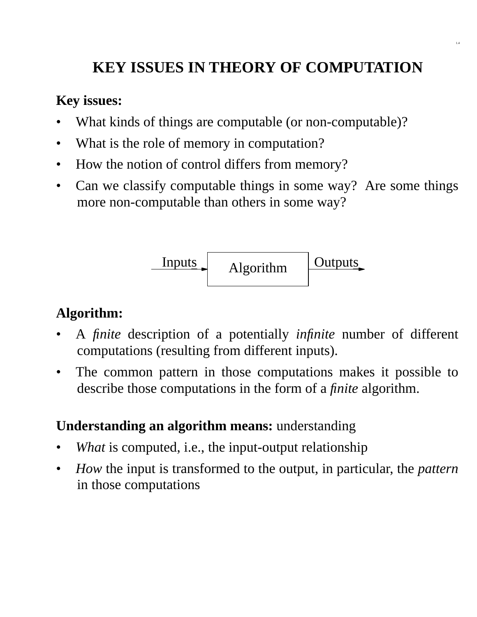# **KEY ISSUES IN THEORY OF COMPUTATION**

1.4

#### **Key issues:**

- What kinds of things are computable (or non-computable)?
- What is the role of memory in computation?
- How the notion of control differs from memory?
- Can we classify computable things in some way? Are some things more non-computable than others in some way?

Algorithm Inputs Outputs

### **Algorithm:**

- A *finite* description of a potentially *infinite* number of different computations (resulting from different inputs).
- The common pattern in those computations makes it possible to describe those computations in the form of a *finite* algorithm.

#### **Understanding an algorithm means:** understanding

- What is computed, i.e., the input-output relationship
- *How* the input is transformed to the output, in particular, the *pattern* in those computations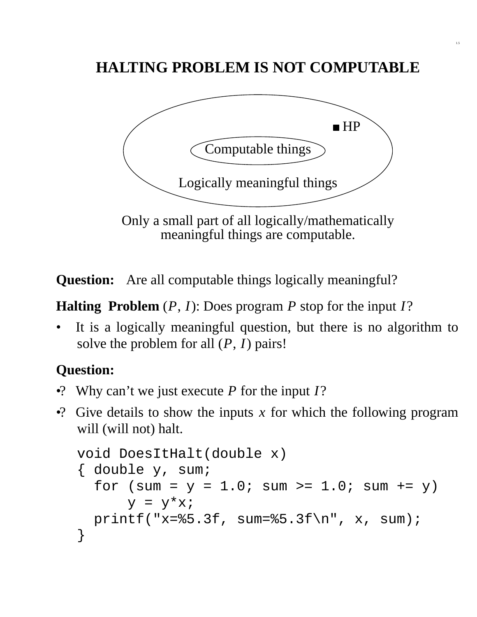# **HALTING PROBLEM IS NOT COMPUTABLE**

1.5



meaningful things are computable.

**Question:** Are all computable things logically meaningful?

**Halting Problem** (*P*, *I*): Does program *P* stop for the input *I*?

It is a logically meaningful question, but there is no algorithm to solve the problem for all (*P*, *I*) pairs!

## **Question:**

- •? Why can't we just execute *P* for the input *I*?
- •? Give details to show the inputs *x* for which the following program will (will not) halt.

```
void DoesItHalt(double x)
{ double y, sum;
  for (sum = y = 1.0; sum >= 1.0; sum += y)y = y^*x;printf("x=%5.3f, sum=%5.3f\n", x, sum);
}
```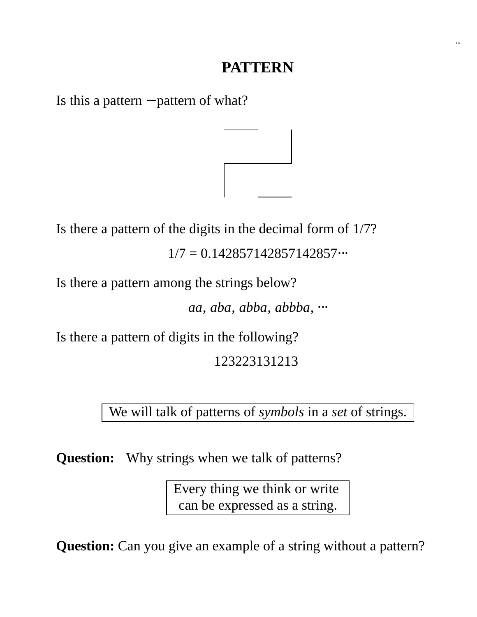### **PATTERN**

1.6

Is this a pattern − pattern of what?



Is there a pattern of the digits in the decimal form of 1/7?

 $1/7 = 0.142857142857142857...$ 

Is there a pattern among the strings below?

*aa*, *aba*, *abba*, *abbba*, ⋅⋅⋅

Is there a pattern of digits in the following?

123223131213

### We will talk of patterns of *symbols* in a *set* of strings.

**Question:** Why strings when we talk of patterns?

Every thing we think or write can be expressed as a string.

**Question:** Can you give an example of a string without a pattern?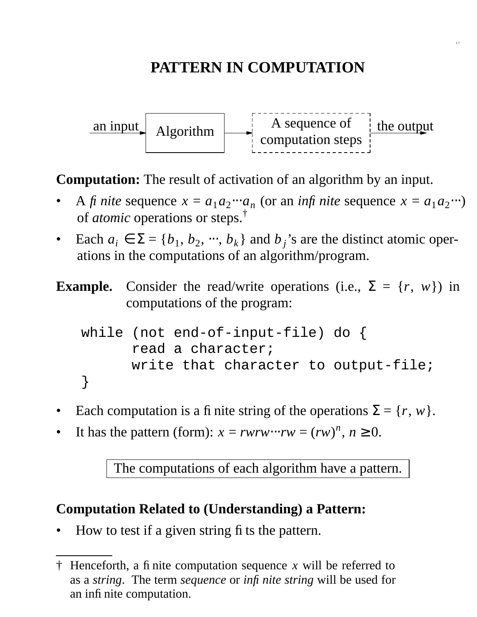# **PATTERN IN COMPUTATION**

1.7



**Computation:** The result of activation of an algorithm by an input.

- A *fi* nite sequence  $x = a_1 a_2 \cdots a_n$  (or an *infi* nite sequence  $x = a_1 a_2 \cdots$ ) of *atomic* operations or steps.†
- Each  $a_i \in \Sigma = \{b_1, b_2, \dots, b_k\}$  and  $b_j$ 's are the distinct atomic operations in the computations of an algorithm/program.
- **Example.** Consider the read/write operations (i.e.,  $\Sigma = \{r, w\}$ ) in computations of the program:

```
while (not end-of-input-file) do {
      read a character;
      write that character to output-file;
}
```
- Each computation is a finite string of the operations  $\Sigma = \{r, w\}.$
- It has the pattern (form):  $x = rwrw \cdots rw = (rw)^n$ ,  $n \ge 0$ .

The computations of each algorithm have a pattern.

#### **Computation Related to (Understanding) a Pattern:**

• How to test if a given string fits the pattern.

<sup>†</sup> Henceforth, a finite computation sequence *x* will be referred to as a *string*. The term *sequence* or *infinite string* will be used for an infinite computation.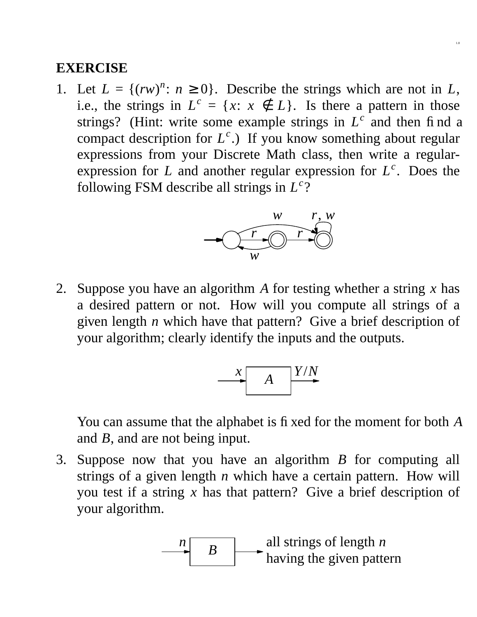1. Let  $L = \{(rw)^n : n \ge 0\}$ . Describe the strings which are not in *L*, i.e., the strings in  $L^c = \{x: x \notin L\}$ . Is there a pattern in those strings? (Hint: write some example strings in  $L^c$  and then find a compact description for *L c* .) If you know something about regular expressions from your Discrete Math class, then write a regularexpression for *L* and another regular expression for  $L^c$ . Does the following FSM describe all strings in *L c* ?

1.8



2. Suppose you have an algorithm *A* for testing whether a string *x* has a desired pattern or not. How will you compute all strings of a given length *n* which have that pattern? Give a brief description of your algorithm; clearly identify the inputs and the outputs.



You can assume that the alphabet is fixed for the moment for both *A* and *B*, and are not being input.

3. Suppose now that you have an algorithm *B* for computing all strings of a given length *n* which have a certain pattern. How will you test if a string *x* has that pattern? Give a brief description of your algorithm.

$$
\begin{array}{c}\n n \\
 \hline\n B\n \end{array}
$$
 all strings of length *n* having the given pattern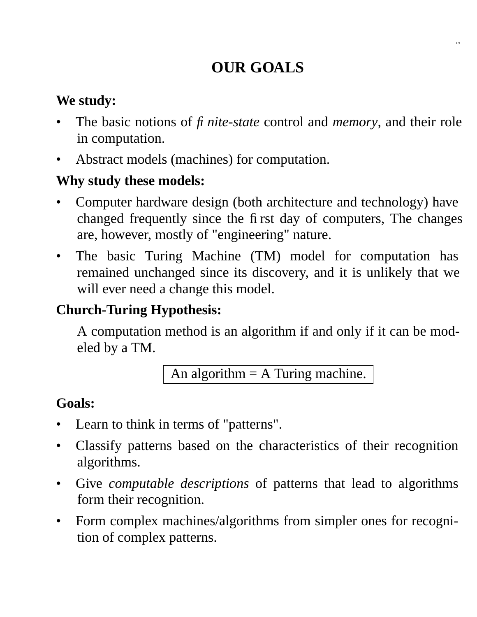# **OUR GOALS**

1.9

### **We study:**

- The basic notions of *fi nite-state* control and *memory*, and their role in computation.
- Abstract models (machines) for computation.

### **Why study these models:**

- Computer hardware design (both architecture and technology) have changed frequently since the first day of computers, The changes are, however, mostly of "engineering" nature.
- The basic Turing Machine (TM) model for computation has remained unchanged since its discovery, and it is unlikely that we will ever need a change this model.

## **Church-Turing Hypothesis:**

A computation method is an algorithm if and only if it can be modeled by a TM.

An algorithm  $=$  A Turing machine.

### **Goals:**

- Learn to think in terms of "patterns".
- Classify patterns based on the characteristics of their recognition algorithms.
- Give *computable descriptions* of patterns that lead to algorithms form their recognition.
- Form complex machines/algorithms from simpler ones for recognition of complex patterns.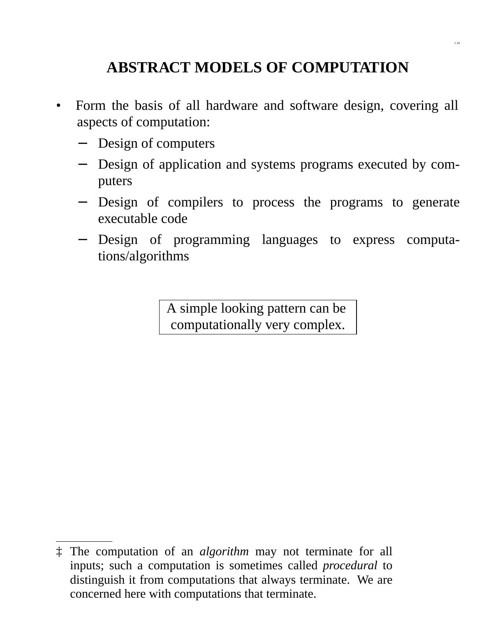# **ABSTRACT MODELS OF COMPUTATION**

- Form the basis of all hardware and software design, covering all aspects of computation:
	- − Design of computers
	- − Design of application and systems programs executed by computers
	- − Design of compilers to process the programs to generate executable code
	- − Design of programming languages to express computations/algorithms

A simple looking pattern can be computationally very complex.

<sup>‡</sup> The computation of an *algorithm* may not terminate for all inputs; such a computation is sometimes called *procedural* to distinguish it from computations that always terminate. We are concerned here with computations that terminate.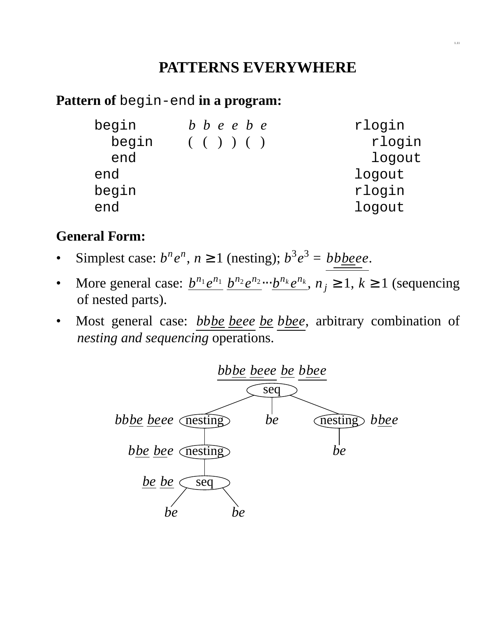### **PATTERNS EVERYWHERE**

#### **Pattern of** begin-end **in a program:**

| begin | $b\,b\,e\,e\,b\,e$ | rlogin |
|-------|--------------------|--------|
| begin | ( () )             | rlogin |
| end   |                    | logout |
| end   |                    | logout |
| begin |                    | rlogin |
| end   |                    | logout |

#### **General Form:**

- Simplest case:  $b^n e^n$ ,  $n \ge 1$  (nesting);  $b^3 e^3 = b b \underline{b} \underline{b} e e$ .
- More general case:  $\underline{b}^{n_1} \underline{e}^{n_1} \underline{b}^{n_2} \underline{e}^{n_2} \cdots \underline{b}^{n_k} \underline{e}^{n_k}$ ,  $n_j \ge 1, k \ge 1$  (sequencing of nested parts).
- Most general case: *bbbe beee be bbee*, arbitrary combination of *nesting and sequencing* operations.

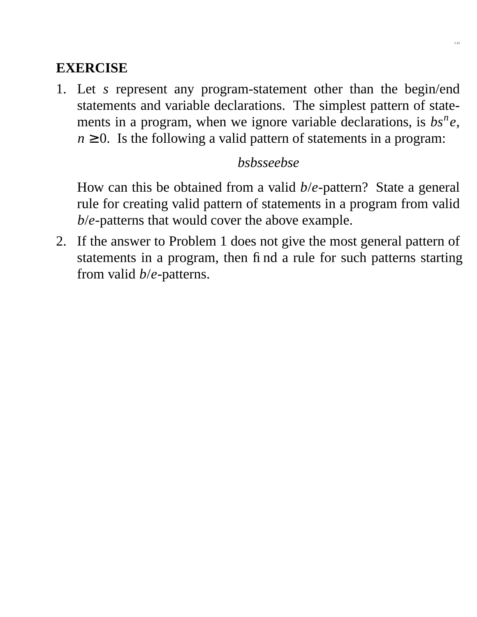1. Let *s* represent any program-statement other than the begin/end statements and variable declarations. The simplest pattern of statements in a program, when we ignore variable declarations, is  $bs^n e$ ,  $n \geq 0$ . Is the following a valid pattern of statements in a program:

### *bsbsseebse*

How can this be obtained from a valid *b*/*e*-pattern? State a general rule for creating valid pattern of statements in a program from valid *b*/*e*-patterns that would cover the above example.

2. If the answer to Problem 1 does not give the most general pattern of statements in a program, then find a rule for such patterns starting from valid *b*/*e*-patterns.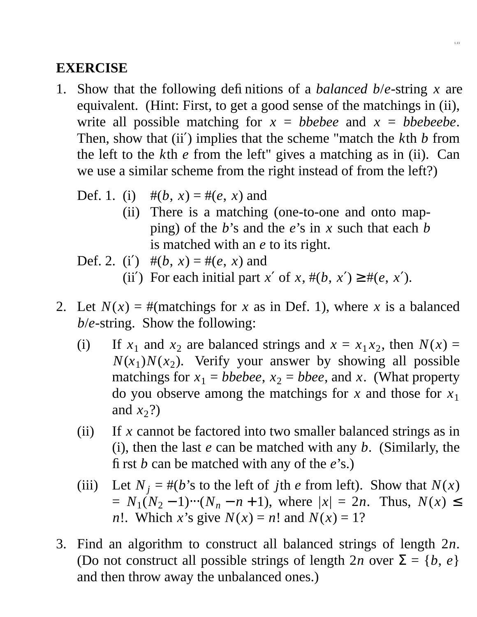1. Show that the following definitions of a *balanced b*/*e*-string *x* are equivalent. (Hint: First, to get a good sense of the matchings in (ii), write all possible matching for  $x = b$  *bebee* and  $x = b$  *bebeebe*. Then, show that (ii′) implies that the scheme "match the *k*th *b* from the left to the *k*th *e* from the left" gives a matching as in (ii). Can we use a similar scheme from the right instead of from the left?)

1.13

- Def. 1. (i)  $\#(b, x) = \#(e, x)$  and
	- (ii) There is a matching (one-to-one and onto mapping) of the *b*'s and the *e*'s in *x* such that each *b* is matched with an *e* to its right.

Def. 2. (i') 
$$
\#(b, x) = \#(e, x)
$$
 and

- (ii') For each initial part *x'* of *x*,  $\#(b, x') \ge \#(e, x')$ .
- 2. Let  $N(x) =$ #(matchings for *x* as in Def. 1), where *x* is a balanced *b*/*e*-string. Show the following:
	- (i) If  $x_1$  and  $x_2$  are balanced strings and  $x = x_1 x_2$ , then  $N(x) =$  $N(x_1)N(x_2)$ . Verify your answer by showing all possible matchings for  $x_1$  = *bbebee*,  $x_2$  = *bbee*, and *x*. (What property do you observe among the matchings for *x* and those for *x*<sup>1</sup> and  $x_2$ ?)
	- (ii) If *x* cannot be factored into two smaller balanced strings as in (i), then the last *e* can be matched with any *b*. (Similarly, the first *b* can be matched with any of the *e*'s.)
	- (iii) Let  $N_i = #(b)$ 's to the left of *j*th *e* from left). Show that  $N(x)$  $= N_1(N_2 - 1) \cdots (N_n - n + 1)$ , where  $|x| = 2n$ . Thus,  $N(x) \le$ *n*!. Which *x*'s give  $N(x) = n!$  and  $N(x) = 1?$
- 3. Find an algorithm to construct all balanced strings of length 2*n*. (Do not construct all possible strings of length 2*n* over  $\Sigma = \{b, e\}$ and then throw away the unbalanced ones.)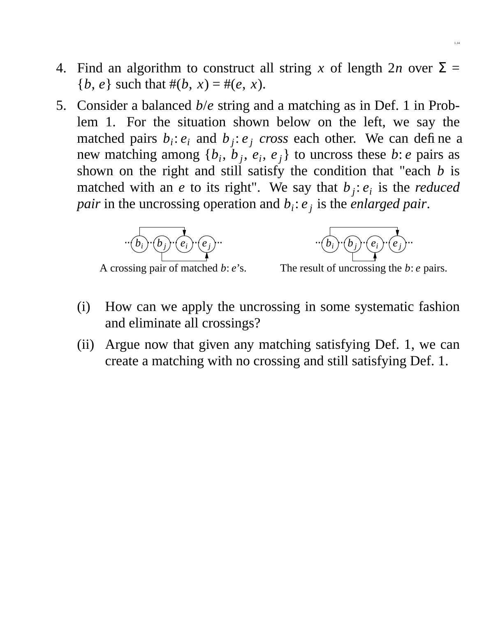- 4. Find an algorithm to construct all string x of length  $2n$  over  $\Sigma =$ {*b*, *e*} such that  $#$ (*b*, *x*) =  $#$ (*e*, *x*).
- 5. Consider a balanced *b*/*e* string and a matching as in Def. 1 in Problem 1. For the situation shown below on the left, we say the matched pairs  $b_i$ :  $e_i$  and  $b_j$ :  $e_j$  *cross* each other. We can define a new matching among  $\{b_i, b_j, e_i, e_j\}$  to uncross these *b*: *e* pairs as shown on the right and still satisfy the condition that "each *b* is matched with an *e* to its right". We say that  $b_j$ :  $e_i$  is the *reduced pair* in the uncrossing operation and *b<sup>i</sup>* : *e <sup>j</sup>* is the *enlarged pair*.



A crossing pair of matched *b*: *e*'s.



The result of uncrossing the *b*: *e* pairs.

- (i) How can we apply the uncrossing in some systematic fashion and eliminate all crossings?
- (ii) Argue now that given any matching satisfying Def. 1, we can create a matching with no crossing and still satisfying Def. 1.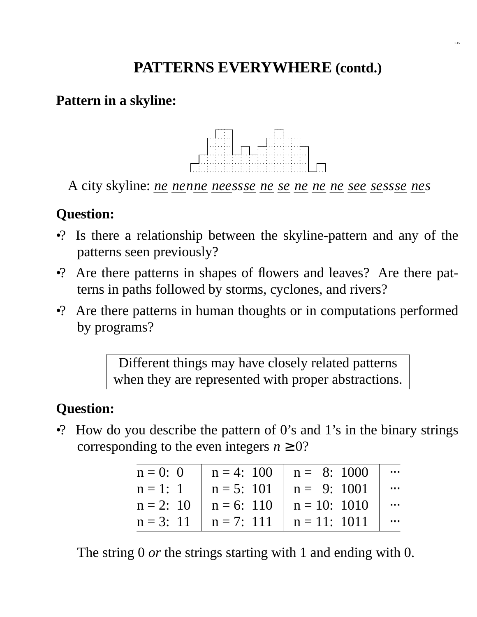# **PATTERNS EVERYWHERE (contd.)**

#### Pattern in a skyline:



A city skyline: *ne ne nne nee ssse ne se ne ne ne see se ssse ne s*

### **Question:**

- •? Is there a relationship between the skyline-pattern and any of the patterns seen previously?
- •? Are there patterns in shapes of flowers and leaves? Are there patterns in paths followed by storms, cyclones, and rivers?
- •? Are there patterns in human thoughts or in computations performed by programs?

Different things may have closely related patterns when they are represented with proper abstractions.

# **Question:**

•? How do you describe the pattern of 0's and 1's in the binary strings corresponding to the even integers  $n \geq 0$ ?

| $n = 0: 0$  |              | $n = 4: 100$ $n = 8: 1000$    | $\cdots$ |
|-------------|--------------|-------------------------------|----------|
| $n = 1: 1$  | $n = 5: 101$ | $n = 9:1001$                  | $\cdots$ |
| $n = 2: 10$ |              | $n = 6$ : 110 $n = 10$ : 1010 | $\cdots$ |
| $n = 3: 11$ |              | $n = 7: 111$ $n = 11: 1011$   | $\cdots$ |

The string 0 *or* the strings starting with 1 and ending with 0.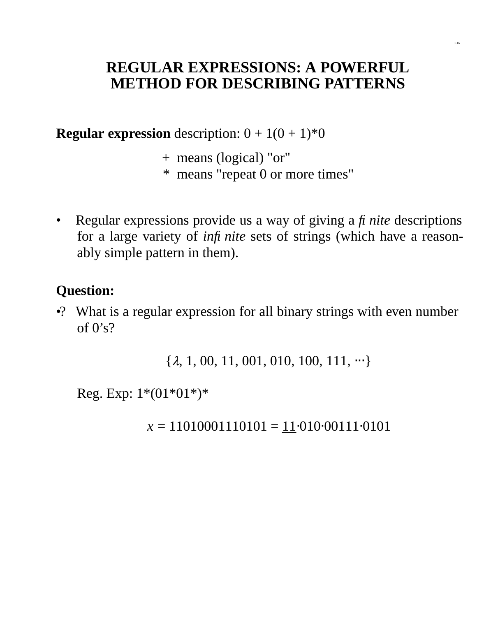### **REGULAR EXPRESSIONS: A POWERFUL METHOD FOR DESCRIBING PATTERNS**

**Regular expression** description:  $0 + 1(0 + 1)^*0$ 

- + means (logical) "or"
- \* means "repeat 0 or more times"
- Regular expressions provide us a way of giving a *finite* descriptions for a large variety of *infinite* sets of strings (which have a reasonably simple pattern in them).

#### **Question:**

•? What is a regular expression for all binary strings with even number of  $0's$ ?

 $\{\lambda, 1, 00, 11, 001, 010, 100, 111, \cdots\}$ 

Reg. Exp:  $1*(01*01*)$ \*

*x* = 11010001110101 = 11⋅010⋅00111⋅0101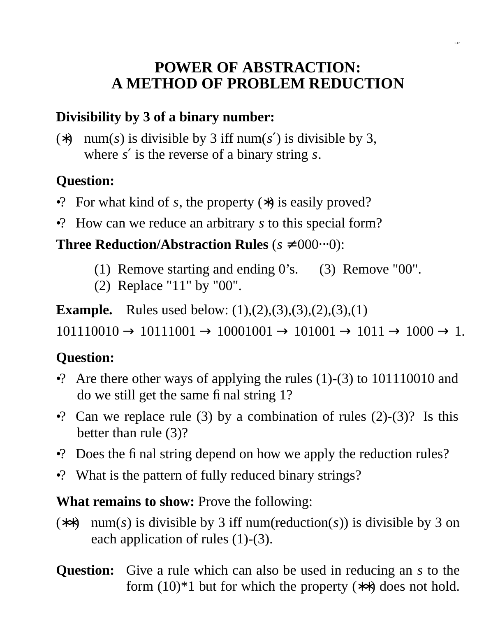## **POWER OF ABSTRACTION: A METHOD OF PROBLEM REDUCTION**

### **Divisibility by 3 of a binary number:**

(\*) num(s) is divisible by 3 iff num(s') is divisible by 3, where *s* ′ is the reverse of a binary string *s*.

# **Question:**

- •? For what kind of *s*, the property (∗) is easily proved?
- •? How can we reduce an arbitrary *s* to this special form?

### **Three Reduction/Abstraction Rules**  $(s \neq 000 \cdots 0)$ :

- (1) Remove starting and ending 0's. (3) Remove "00".
- (2) Replace "11" by "00".

**Example.** Rules used below: (1),(2),(3),(3),(2),(3),(1)

 $101110010 \rightarrow 10111001 \rightarrow 10001001 \rightarrow 101001 \rightarrow 1011 \rightarrow 1000 \rightarrow 1.$ 

## **Question:**

- •? Are there other ways of applying the rules  $(1)-(3)$  to 101110010 and do we still get the same final string 1?
- •? Can we replace rule (3) by a combination of rules  $(2)-(3)$ ? Is this better than rule (3)?
- •? Does the final string depend on how we apply the reduction rules?
- •? What is the pattern of fully reduced binary strings?

**What remains to show:** Prove the following:

- (∗∗) num(*s*) is divisible by 3 iff num(reduction(*s*)) is divisible by 3 on each application of rules (1)-(3).
- **Question:** Give a rule which can also be used in reducing an *s* to the form  $(10)*1$  but for which the property  $(**)$  does not hold.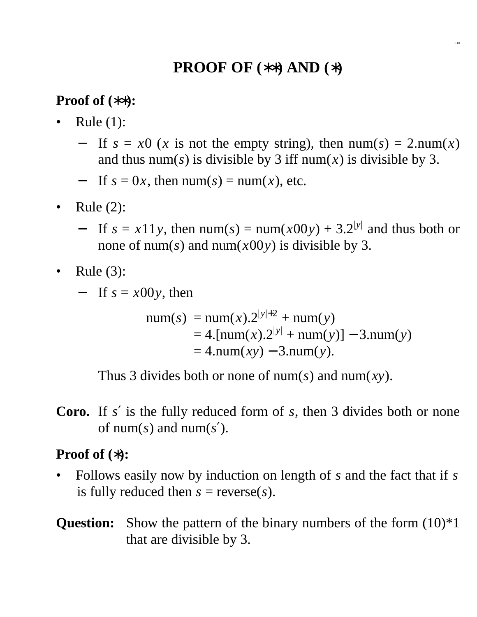# **PROOF OF (**∗∗**) AND (**∗**)**

#### **Proof of (**∗∗**):**

- Rule  $(1)$ :
	- If  $s = x0$  (*x* is not the empty string), then  $num(s) = 2num(x)$ and thus num(s) is divisible by 3 iff num(x) is divisible by 3.
	- If  $s = 0x$ , then num( $s$ ) = num( $x$ ), etc.
- Rule (2):
	- $-$  If  $s = x11y$ , then num( $s$ ) = num( $x00y$ ) + 3.2<sup>|y|</sup> and thus both or none of num(s) and num( $x00y$ ) is divisible by 3.
- Rule (3):
	- − If *s* = *x*00*y*, then

num(*s*) = num(*x*).2|*y*|+<sup>2</sup> + num(*y*) = 4.[num(*x*).2|*y*<sup>|</sup> + num(*y*)] − 3.num(*y*) = 4.num(*xy*) − 3.num(*y*).

Thus 3 divides both or none of num(*s*) and num(*xy*).

**Coro.** If *s* ′ is the fully reduced form of *s*, then 3 divides both or none of num(*s*) and num(*s* ′).

#### **Proof of (**∗**):**

- Follows easily now by induction on length of *s* and the fact that if *s* is fully reduced then  $s = \text{reverse}(s)$ .
- **Question:** Show the pattern of the binary numbers of the form  $(10)^*1$ that are divisible by 3.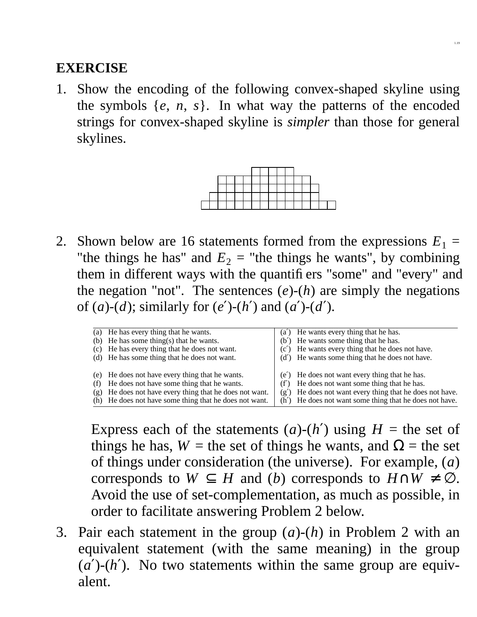1. Show the encoding of the following convex-shaped skyline using the symbols  $\{e, n, s\}$ . In what way the patterns of the encoded strings for convex-shaped skyline is *simpler* than those for general skylines.



2. Shown below are 16 statements formed from the expressions  $E_1 =$ "the things he has" and  $E_2$  = "the things he wants", by combining them in different ways with the quantifiers "some" and "every" and the negation "not". The sentences  $(e)$ - $(h)$  are simply the negations of (*a*)-(*d*); similarly for (*e'*)-(*h'*) and (*a'*)-(*d'*).

|            | (a) He has every thing that he wants.<br>(b) He has some thing(s) that he wants.<br>(c) He has every thing that he does not want.<br>(d) He has some thing that he does not want.                              |      | (a') He wants every thing that he has.<br>(b') He wants some thing that he has.<br>(c') He wants every thing that he does not have.<br>(d') He wants some thing that he does not have.                              |
|------------|----------------------------------------------------------------------------------------------------------------------------------------------------------------------------------------------------------------|------|---------------------------------------------------------------------------------------------------------------------------------------------------------------------------------------------------------------------|
| (f)<br>(g) | (e) He does not have every thing that he wants.<br>He does not have some thing that he wants.<br>He does not have every thing that he does not want.<br>(h) He does not have some thing that he does not want. | (f') | (e') He does not want every thing that he has.<br>He does not want some thing that he has.<br>$(g')$ He does not want every thing that he does not have.<br>(h') He does not want some thing that he does not have. |

Express each of the statements  $(a)-(h')$  using  $H =$  the set of things he has,  $W =$  the set of things he wants, and  $\Omega =$  the set of things under consideration (the universe). For example, (*a*) corresponds to  $W \subseteq H$  and (*b*) corresponds to  $H \cap W \neq \emptyset$ . Avoid the use of set-complementation, as much as possible, in order to facilitate answering Problem 2 below.

3. Pair each statement in the group (*a*)-(*h*) in Problem 2 with an equivalent statement (with the same meaning) in the group  $(a')$ - $(h')$ . No two statements within the same group are equivalent.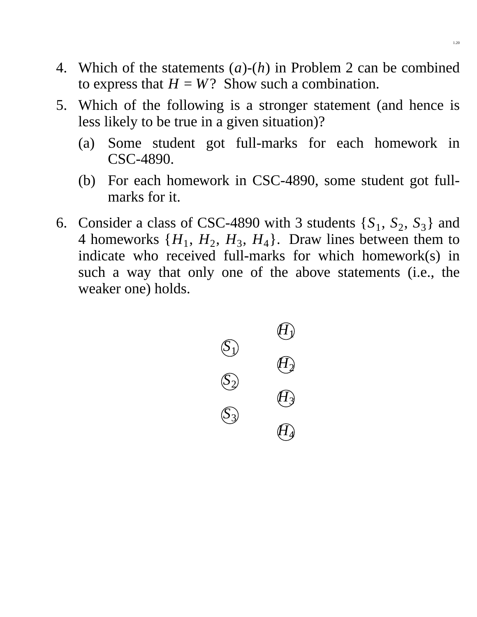- 4. Which of the statements (*a*)-(*h*) in Problem 2 can be combined to express that  $H = W$ ? Show such a combination.
- 5. Which of the following is a stronger statement (and hence is less likely to be true in a given situation)?
	- (a) Some student got full-marks for each homework in CSC-4890.
	- (b) For each homework in CSC-4890, some student got fullmarks for it.
- 6. Consider a class of CSC-4890 with 3 students  $\{S_1, S_2, S_3\}$  and 4 homeworks  $\{H_1, H_2, H_3, H_4\}$ . Draw lines between them to indicate who received full-marks for which homework(s) in such a way that only one of the above statements (i.e., the weaker one) holds.

$$
\begin{array}{ccc}\n & & & \mathcal{L} \\
\mathbb{S}_1 & & & \mathcal{L} \\
\mathbb{S}_2 & & & \mathcal{L} \\
\mathbb{S}_3 & & & \mathcal{L} \\
\mathbb{S}_3 & & & \mathcal{L} \\
\end{array}
$$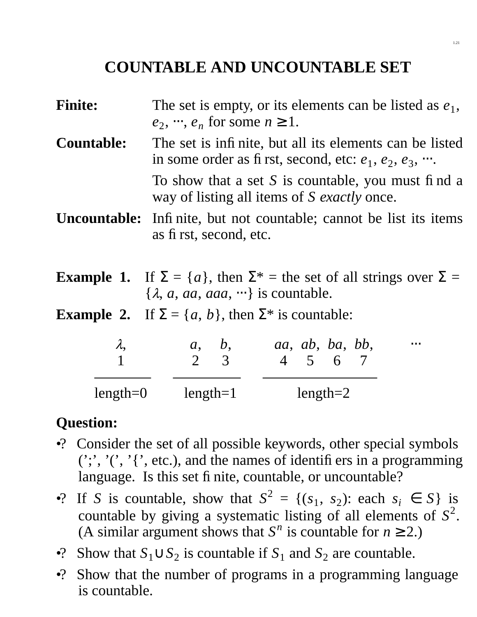## **COUNTABLE AND UNCOUNTABLE SET**

- **Finite:** The set is empty, or its elements can be listed as  $e_1$ ,  $e_2, \dots, e_n$  for some  $n \ge 1$ .
- **Countable:** The set is infinite, but all its elements can be listed in some order as first, second, etc:  $e_1, e_2, e_3, \dots$ .

To show that a set *S* is countable, you must find a way of listing all items of *S exactly* once.

- **Uncountable:** Infinite, but not countable; cannot be list its items as first, second, etc.
- **Example 1.** If  $\Sigma = \{a\}$ , then  $\Sigma^* =$  the set of all strings over  $\Sigma =$ {λ, *a*, *aa*, *aaa*, ⋅⋅⋅} is countable.
- **Example 2.** If  $\Sigma = \{a, b\}$ , then  $\Sigma^*$  is countable:

| $\lambda$  | a, b,      | aa, ab, ba, bb,<br>$4\quad 5\quad 6\quad 7$ | $\bullet$ .<br><br>$\bullet$ |
|------------|------------|---------------------------------------------|------------------------------|
| $length=0$ | $length=1$ | $length=2$                                  |                              |

### **Question:**

- •? Consider the set of all possible keywords, other special symbols  $(';', '', '', '', etc.),$  and the names of identifiers in a programming language. Is this set finite, countable, or uncountable?
- •? If *S* is countable, show that  $S^2 = \{(s_1, s_2): \text{each } s_i \in S\}$  is countable by giving a systematic listing of all elements of *S* 2 . (A similar argument shows that  $S<sup>n</sup>$  is countable for  $n \ge 2$ .)
- •? Show that  $S_1 \cup S_2$  is countable if  $S_1$  and  $S_2$  are countable.
- •? Show that the number of programs in a programming language is countable.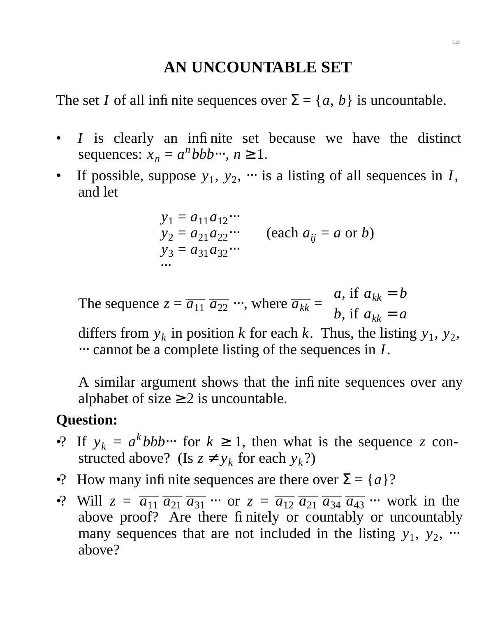# **AN UNCOUNTABLE SET**

The set *I* of all infinite sequences over  $\Sigma = \{a, b\}$  is uncountable.

- *I* is clearly an infinite set because we have the distinct sequences:  $x_n = a^n b b b \cdots, n \ge 1$ .
- If possible, suppose  $y_1, y_2, \dots$  is a listing of all sequences in *I*, and let

 $y_1 = a_{11}a_{12}...$  $y_2 = a_{21}a_{22}...$  (each  $a_{ij} = a$  or *b*)  $y_3 = a_{31}a_{32}...$ ⋅⋅⋅

The sequence  $z = \overline{a_{11}} \ \overline{a_{22}} \ \cdots$ , where  $\overline{a_{kk}} =$  $\perp$  $\left\{ \right.$  $\overline{r}$  $a,$  if  $a_{kk} = b$  $b$ , if  $a_{kk} = a$ 

differs from  $y_k$  in position *k* for each *k*. Thus, the listing  $y_1$ ,  $y_2$ , ⋅⋅⋅ cannot be a complete listing of the sequences in *I*.

A similar argument shows that the infinite sequences over any alphabet of size  $\geq 2$  is uncountable.

## **Question:**

- •? If  $y_k = a^k b b b \cdots$  for  $k \ge 1$ , then what is the sequence *z* constructed above? (Is  $z \neq y_k$  for each  $y_k$ ?)
- •? How many infinite sequences are there over  $\Sigma = \{a\}$ ?
- •? Will  $z = \overline{a_{11}} \ \overline{a_{21}} \ \overline{a_{31}} \ \cdots$  or  $z = \overline{a_{12}} \ \overline{a_{21}} \ \overline{a_{34}} \ \overline{a_{43}} \ \cdots$  work in the above proof? Are there finitely or countably or uncountably many sequences that are not included in the listing  $y_1$ ,  $y_2$ , ... above?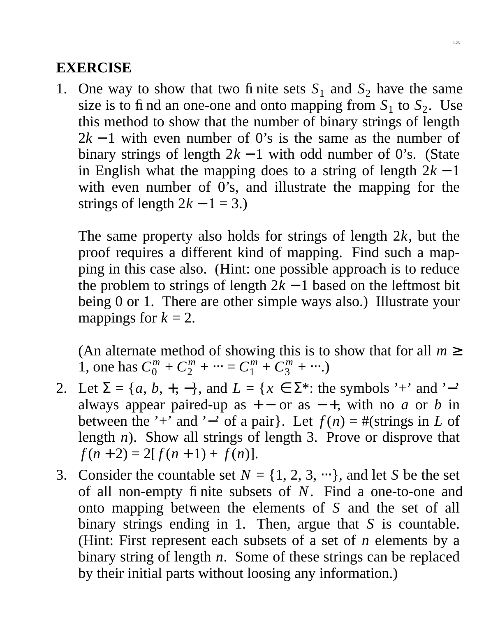1. One way to show that two finite sets  $S_1$  and  $S_2$  have the same size is to find an one-one and onto mapping from  $S_1$  to  $S_2$ . Use this method to show that the number of binary strings of length  $2k - 1$  with even number of 0's is the same as the number of binary strings of length  $2k - 1$  with odd number of 0's. (State in English what the mapping does to a string of length  $2k - 1$ with even number of 0's, and illustrate the mapping for the strings of length  $2k - 1 = 3$ .)

The same property also holds for strings of length 2*k*, but the proof requires a different kind of mapping. Find such a mapping in this case also. (Hint: one possible approach is to reduce the problem to strings of length  $2k - 1$  based on the leftmost bit being 0 or 1. There are other simple ways also.) Illustrate your mappings for  $k = 2$ .

(An alternate method of showing this is to show that for all  $m \geq$ 1, one has  $C_0^m + C_2^m + \cdots = C_1^m + C_3^m + \cdots$ .)

- 2. Let  $\Sigma = \{a, b, +, -\}$ , and  $L = \{x \in \Sigma^* : \text{the symbols } ' +' \text{ and } ' -' \}$ always appear paired-up as  $+$  or as  $-$  +, with no *a* or *b* in between the '+' and '−' of a pair}. Let  $f(n) = #$ (strings in *L* of length *n*). Show all strings of length 3. Prove or disprove that  $f(n+2) = 2[f(n+1) + f(n)].$
- 3. Consider the countable set  $N = \{1, 2, 3, \cdots\}$ , and let *S* be the set of all non-empty finite subsets of *N*. Find a one-to-one and onto mapping between the elements of *S* and the set of all binary strings ending in 1. Then, argue that *S* is countable. (Hint: First represent each subsets of a set of *n* elements by a binary string of length *n*. Some of these strings can be replaced by their initial parts without loosing any information.)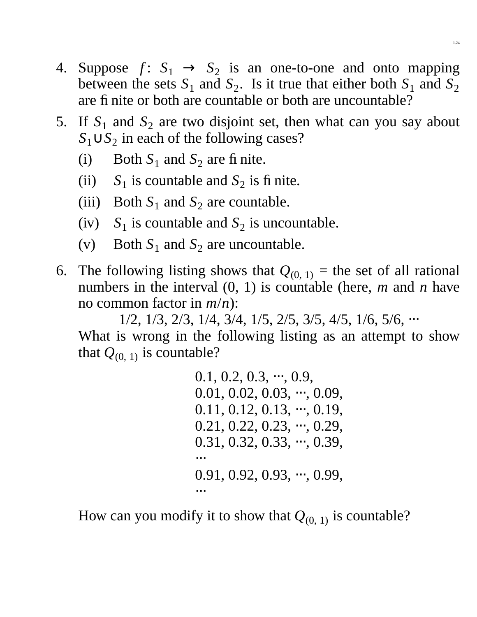- 4. Suppose  $f: S_1 \rightarrow S_2$  is an one-to-one and onto mapping between the sets  $S_1$  and  $S_2$ . Is it true that either both  $S_1$  and  $S_2$ are finite or both are countable or both are uncountable?
- 5. If  $S_1$  and  $S_2$  are two disjoint set, then what can you say about *S*1∪*S*<sup>2</sup> in each of the following cases?
	- (i) Both  $S_1$  and  $S_2$  are finite.
	- (ii)  $S_1$  is countable and  $S_2$  is finite.
	- (iii) Both  $S_1$  and  $S_2$  are countable.
	- (iv)  $S_1$  is countable and  $S_2$  is uncountable.
	- (v) Both  $S_1$  and  $S_2$  are uncountable.
- 6. The following listing shows that  $Q_{(0, 1)}$  = the set of all rational numbers in the interval (0, 1) is countable (here, *m* and *n* have no common factor in *m*/*n*):

1/2, 1/3, 2/3, 1/4, 3/4, 1/5, 2/5, 3/5, 4/5, 1/6, 5/6, ⋅⋅⋅

What is wrong in the following listing as an attempt to show that  $Q_{(0, 1)}$  is countable?

> $0.1, 0.2, 0.3, \dots, 0.9,$  $0.01, 0.02, 0.03, \dots, 0.09,$  $0.11, 0.12, 0.13, \dots, 0.19,$ 0.21, 0.22, 0.23, ···, 0.29,  $0.31, 0.32, 0.33, \dots, 0.39,$ ⋅⋅⋅ 0.91, 0.92, 0.93, ···, 0.99, ⋅⋅⋅

How can you modify it to show that  $Q_{(0, 1)}$  is countable?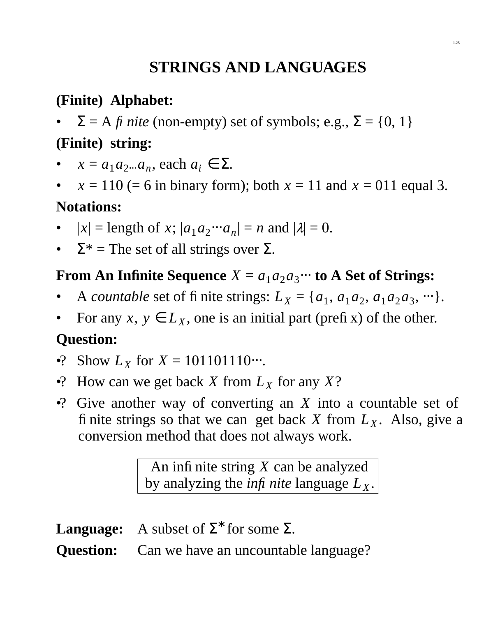# **STRINGS AND LANGUAGES**

## **(Finite) Alphabet:**

 $\Sigma = A f i$  *nite* (non-empty) set of symbols; e.g.,  $\Sigma = \{0, 1\}$ 

## **(Finite) string:**

- $x = a_1 a_2 ... a_n$ , each  $a_i \in \Sigma$ .
- $x = 110$  (= 6 in binary form); both  $x = 11$  and  $x = 011$  equal 3.

### **Notations:**

- $|x| = \text{length of } x$ ;  $|a_1 a_2 \cdots a_n| = n$  and  $|\lambda| = 0$ .
- $\Sigma^*$  = The set of all strings over  $\Sigma$ .

# **From An Infinite Sequence**  $X = a_1 a_2 a_3 \cdots$  to A Set of Strings:

- A *countable* set of fi nite strings:  $L_X = \{a_1, a_1a_2, a_1a_2a_3, \dots\}.$
- For any  $x, y \in L_X$ , one is an initial part (prefix) of the other.

# **Question:**

- •? Show  $L_X$  for  $X = 101101110\cdots$ .
- •? How can we get back *X* from  $L_X$  for any  $X$ ?
- •? Give another way of converting an *X* into a countable set of finite strings so that we can get back *X* from  $L_X$ . Also, give a conversion method that does not always work.

An infinite string *X* can be analyzed by analyzing the *infi* nite language  $L_X$ .

**Language:** A subset of  $\Sigma^*$  for some  $\Sigma$ .

**Question:** Can we have an uncountable language?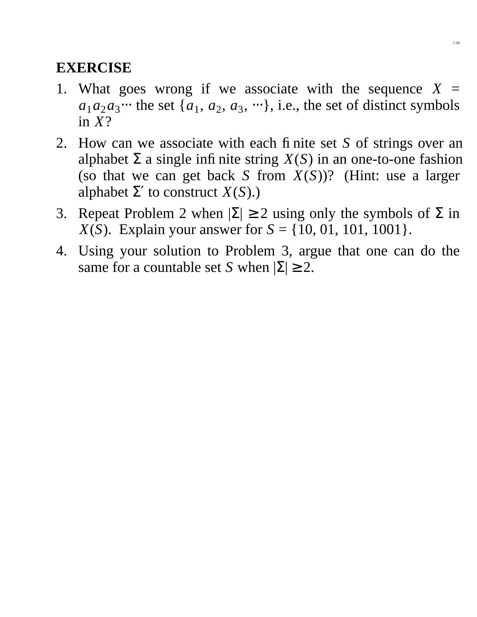- 1. What goes wrong if we associate with the sequence  $X =$  $a_1a_2a_3\cdots$  the set  $\{a_1, a_2, a_3, \cdots\}$ , i.e., the set of distinct symbols in *X*?
- 2. How can we associate with each finite set *S* of strings over an alphabet  $\Sigma$  a single infinite string  $X(S)$  in an one-to-one fashion (so that we can get back *S* from *X*(*S*))? (Hint: use a larger alphabet  $\Sigma'$  to construct  $X(S)$ .)
- 3. Repeat Problem 2 when  $|\Sigma| \ge 2$  using only the symbols of  $\Sigma$  in *X*(*S*). Explain your answer for  $S = \{10, 01, 101, 1001\}$ .
- 4. Using your solution to Problem 3, argue that one can do the same for a countable set *S* when  $|\Sigma| \ge 2$ .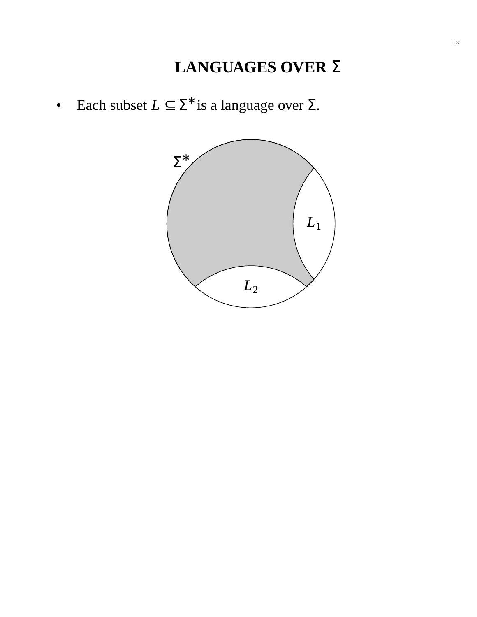• Each subset  $L \subseteq \Sigma^*$  is a language over  $\Sigma$ .

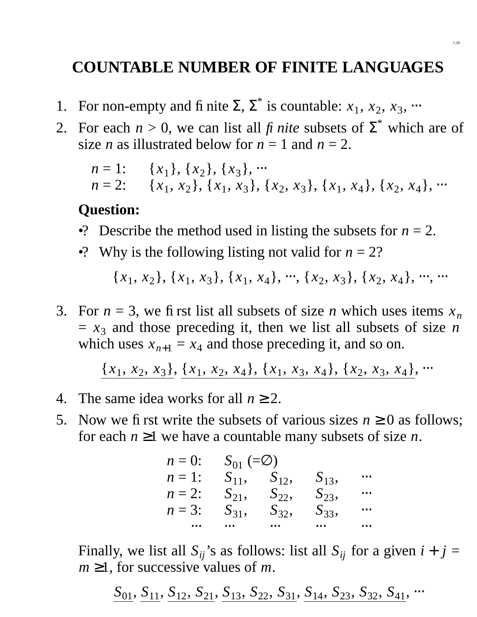## **COUNTABLE NUMBER OF FINITE LANGUAGES**

- 1. For non-empty and fi nite  $\Sigma$ ,  $\Sigma^*$  is countable:  $x_1, x_2, x_3, \dots$
- 2. For each  $n > 0$ , we can list all *fi nite* subsets of  $\Sigma^*$  which are of size *n* as illustrated below for  $n = 1$  and  $n = 2$ .

*n* = 1: {
$$
x_1
$$
}, { $x_2$ }, { $x_3$ }, ...  
*n* = 2: { $x_1$ ,  $x_2$ }, { $x_1$ ,  $x_3$ }, { $x_2$ ,  $x_3$ }, { $x_1$ ,  $x_4$ }, { $x_2$ ,  $x_4$ }, ...

#### **Question:**

- •? Describe the method used in listing the subsets for  $n = 2$ .
- •? Why is the following listing not valid for  $n = 2$ ?

 ${x_1, x_2}, {x_1, x_3}, {x_1, x_4}, \dots, {x_2, x_3}, {x_2, x_4}, \dots$ 

3. For  $n = 3$ , we first list all subsets of size *n* which uses items  $x_n$  $= x_3$  and those preceding it, then we list all subsets of size *n* which uses  $x_{n+1} = x_4$  and those preceding it, and so on.

 ${x_1, x_2, x_3}, {x_1, x_2, x_4}, {x_1, x_3, x_4}, {x_2, x_4, x_5, x_6},$ 

- 4. The same idea works for all  $n \geq 2$ .
- 5. Now we first write the subsets of various sizes  $n \geq 0$  as follows; for each  $n \geq 1$  we have a countable many subsets of size *n*.

| $n=0$ : | $S_{01} (\equiv \oslash)$ |          |          |          |
|---------|---------------------------|----------|----------|----------|
| $n=1$ : | $S_{11}$                  | $S_{12}$ | $S_{13}$ |          |
| $n=2$ : | $S_{21}$ ,                | $S_{22}$ | $S_{23}$ | $\cdots$ |
| $n=3$ : | $S_{31}$                  | $S_{32}$ | $S_{33}$ | $\cdots$ |
|         |                           | $\cdots$ | $\cdots$ |          |

Finally, we list all  $S_{ij}$ 's as follows: list all  $S_{ij}$  for a given  $i + j =$  $m \geq 1$ , for successive values of *m*.

 $S_{01}$ ,  $S_{11}$ ,  $S_{12}$ ,  $S_{21}$ ,  $S_{13}$ ,  $S_{22}$ ,  $S_{31}$ ,  $S_{14}$ ,  $S_{23}$ ,  $S_{32}$ ,  $S_{41}$ ,  $\cdots$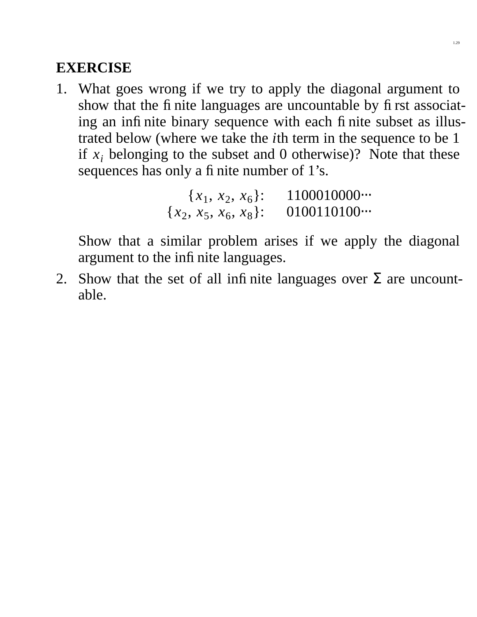1. What goes wrong if we try to apply the diagonal argument to show that the finite languages are uncountable by first associating an infinite binary sequence with each finite subset as illustrated below (where we take the *i*th term in the sequence to be 1 if  $x_i$  belonging to the subset and 0 otherwise)? Note that these sequences has only a finite number of 1's.

```
{x_1, x_2, x_6}: 1100010000<sub>·</sub>··
{x_2, x_5, x_6, x_8}: 0100110100<sub></sub>...
```
Show that a similar problem arises if we apply the diagonal argument to the infinite languages.

2. Show that the set of all infinite languages over  $\Sigma$  are uncountable.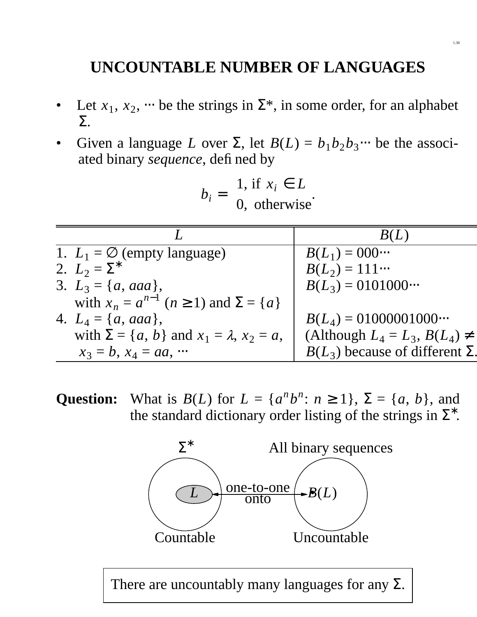# **UNCOUNTABLE NUMBER OF LANGUAGES**

- Let  $x_1, x_2, \dots$  be the strings in  $\Sigma^*$ , in some order, for an alphabet Σ.
- Given a language *L* over  $\Sigma$ , let  $B(L) = b_1 b_2 b_3 \cdots$  be the associated binary *sequence*, defined by

$$
b_i = \begin{cases} 1, \text{ if } x_i \in L \\ 0, \text{ otherwise.} \end{cases}
$$

| 1. $L_1 = \emptyset$ (empty language)                      | $B(L_1) = 000 \cdots$                    |
|------------------------------------------------------------|------------------------------------------|
| 2. $L_2 = \Sigma^*$                                        | $B(L_2) = 111$                           |
| 3. $L_3 = \{a, aaa\},\$                                    | $B(L_3) = 0101000$                       |
| with $x_n = a^{n-1}$ $(n \ge 1)$ and $\Sigma = \{a\}$      |                                          |
| 4. $L_4 = \{a, aaa\},\$                                    | $B(L_4) = 01000001000$                   |
| with $\Sigma = \{a, b\}$ and $x_1 = \lambda$ , $x_2 = a$ , | (Although $L_4 = L_3$ , $B(L_4) \neq$    |
| $x_3 = b, x_4 = aa, \cdots$                                | $B(L_3)$ because of different $\Sigma$ . |

**Question:** What is *B*(*L*) for  $L = \{a^n b^n : n \ge 1\}$ ,  $\Sigma = \{a, b\}$ , and the standard dictionary order listing of the strings in  $\Sigma^*$ .



There are uncountably many languages for any  $\Sigma$ .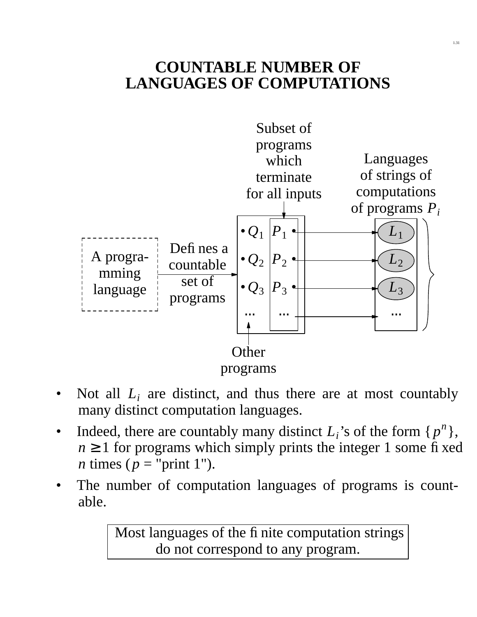## **COUNTABLE NUMBER OF LANGUAGES OF COMPUTATIONS**



- Not all  $L_i$  are distinct, and thus there are at most countably many distinct computation languages.
- Indeed, there are countably many distinct  $L_i$ 's of the form  $\{p^n\}$ ,  $n \geq 1$  for programs which simply prints the integer 1 some fixed *n* times ( $p =$ "print 1").
- The number of computation languages of programs is countable.

Most languages of the finite computation strings do not correspond to any program.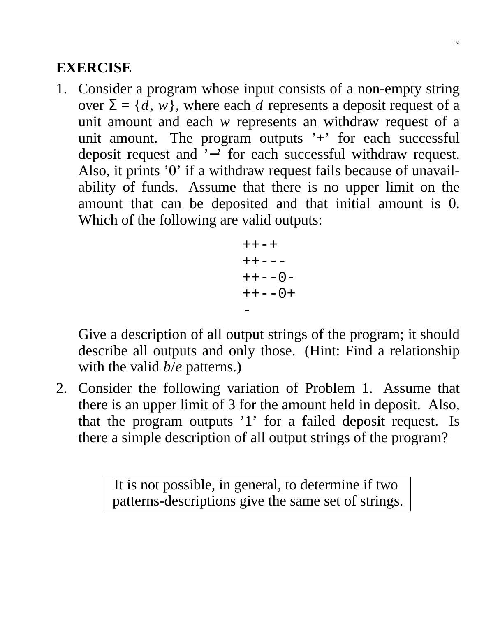1. Consider a program whose input consists of a non-empty string over  $\Sigma = \{d, w\}$ , where each *d* represents a deposit request of a unit amount and each *w* represents an withdraw request of a unit amount. The program outputs  $'$ +' for each successful deposit request and '−' for each successful withdraw request. Also, it prints '0' if a withdraw request fails because of unavailability of funds. Assume that there is no upper limit on the amount that can be deposited and that initial amount is 0. Which of the following are valid outputs:

$$
^{++-+}
$$
  
 
$$
^{++--}
$$
  
 
$$
^{++--0-}
$$
  
 
$$
^{++--0+}
$$
  
 
$$
^{--}
$$

Give a description of all output strings of the program; it should describe all outputs and only those. (Hint: Find a relationship with the valid *b*/*e* patterns.)

2. Consider the following variation of Problem 1. Assume that there is an upper limit of 3 for the amount held in deposit. Also, that the program outputs '1' for a failed deposit request. Is there a simple description of all output strings of the program?

> It is not possible, in general, to determine if two patterns-descriptions give the same set of strings.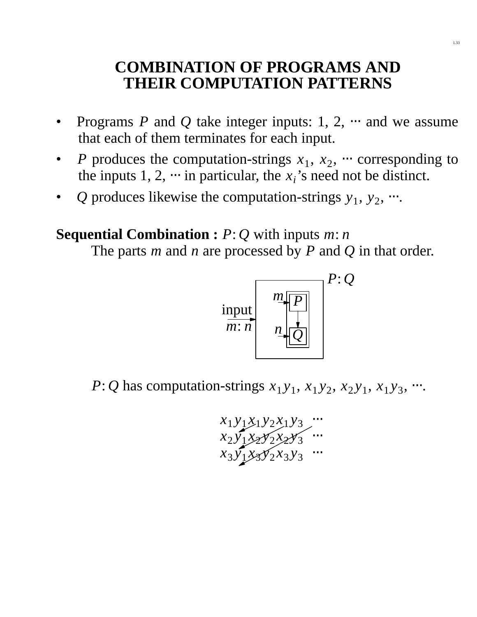## **COMBINATION OF PROGRAMS AND THEIR COMPUTATION PATTERNS**

- Programs *P* and *Q* take integer inputs: 1, 2,  $\cdots$  and we assume that each of them terminates for each input.
- *P* produces the computation-strings  $x_1, x_2, \cdots$  corresponding to the inputs  $1, 2, \dots$  in particular, the  $x_i$ 's need not be distinct.
- *Q* produces likewise the computation-strings  $y_1, y_2, \dots$

#### **Sequential Combination :** *P*: *Q* with inputs *m*: *n*

The parts *m* and *n* are processed by *P* and *Q* in that order.



*P*: *Q* has computation-strings  $x_1y_1$ ,  $x_1y_2$ ,  $x_2y_1$ ,  $x_1y_3$ ,  $\cdots$ .

$$
x_1 y_1 x_1 y_2 x_1 y_3 \dots
$$
  
\n
$$
x_2 y_1 x_2 y_2 x_2 y_3 \dots
$$
  
\n
$$
x_3 y_1 x_3 y_2 x_3 y_3 \dots
$$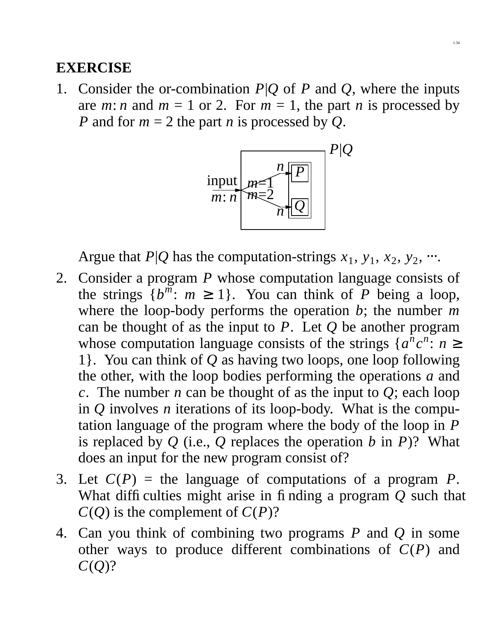1. Consider the or-combination *P*|*Q* of *P* and *Q*, where the inputs are *m*: *n* and  $m = 1$  or 2. For  $m = 1$ , the part *n* is processed by *P* and for  $m = 2$  the part *n* is processed by *Q*.



Argue that  $P|Q$  has the computation-strings  $x_1, y_1, x_2, y_2, \dots$ 

- 2. Consider a program *P* whose computation language consists of the strings  $\{b^m: m \ge 1\}$ . You can think of *P* being a loop, where the loop-body performs the operation *b*; the number *m* can be thought of as the input to *P*. Let *Q* be another program whose computation language consists of the strings  $\{a^n c^n : n \geq 0\}$ 1}. You can think of *Q* as having two loops, one loop following the other, with the loop bodies performing the operations *a* and *c*. The number *n* can be thought of as the input to  $Q$ ; each loop in *Q* involves *n* iterations of its loop-body. What is the computation language of the program where the body of the loop in *P* is replaced by *Q* (i.e., *Q* replaces the operation *b* in *P*)? What does an input for the new program consist of?
- 3. Let  $C(P)$  = the language of computations of a program *P*. What difficulties might arise in finding a program Q such that  $C(Q)$  is the complement of  $C(P)$ ?
- 4. Can you think of combining two programs *P* and *Q* in some other ways to produce different combinations of *C*(*P*) and *C*(*Q*)?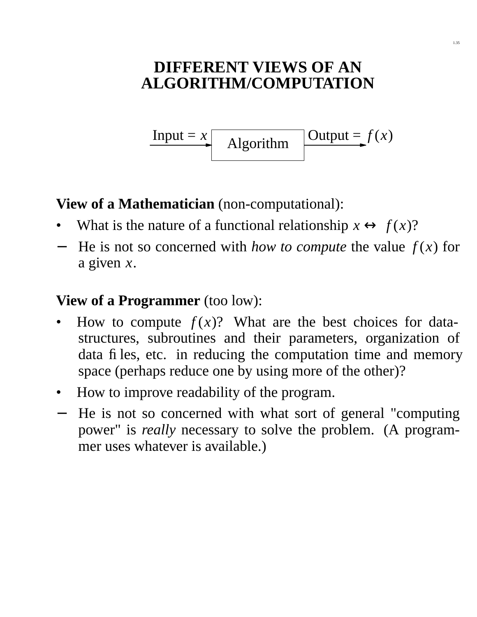# **DIFFERENT VIEWS OF AN ALGORITHM/COMPUTATION**

Input =  $x$  Algorithm Output =  $f(x)$ 

**View of a Mathematician** (non-computational):

- What is the nature of a functional relationship  $x \leftrightarrow f(x)$ ?
- − He is not so concerned with *how to compute* the value *f* (*x*) for a given  $x$ .

#### **View of a Programmer** (too low):

- How to compute  $f(x)$ ? What are the best choices for datastructures, subroutines and their parameters, organization of data files, etc. in reducing the computation time and memory space (perhaps reduce one by using more of the other)?
- How to improve readability of the program.
- − He is not so concerned with what sort of general "computing power" is *really* necessary to solve the problem. (A programmer uses whatever is available.)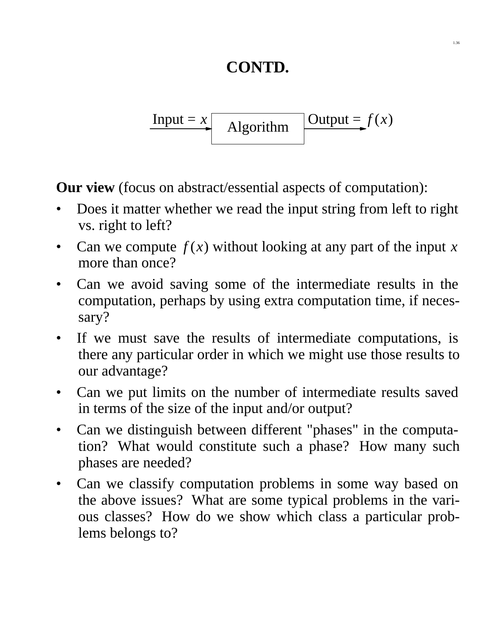# **CONTD.**

$$
Input = x \t\qquad{Algorithm} Output = f(x)
$$

**Our view** (focus on abstract/essential aspects of computation):

- Does it matter whether we read the input string from left to right vs. right to left?
- Can we compute  $f(x)$  without looking at any part of the input x more than once?
- Can we avoid saving some of the intermediate results in the computation, perhaps by using extra computation time, if necessary?
- If we must save the results of intermediate computations, is there any particular order in which we might use those results to our advantage?
- Can we put limits on the number of intermediate results saved in terms of the size of the input and/or output?
- Can we distinguish between different "phases" in the computation? What would constitute such a phase? How many such phases are needed?
- Can we classify computation problems in some way based on the above issues? What are some typical problems in the various classes? How do we show which class a particular problems belongs to?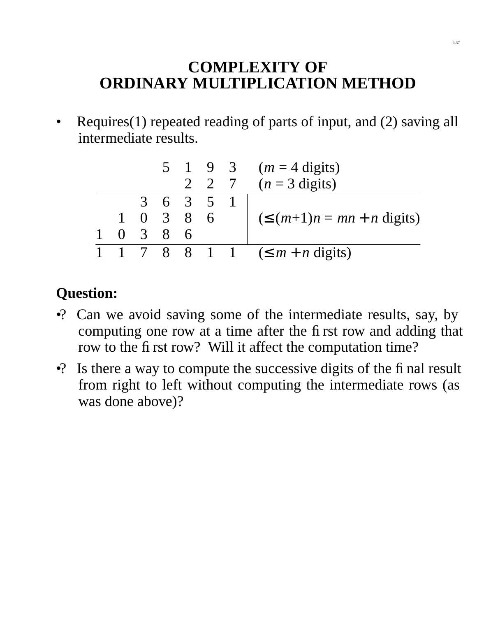# **COMPLEXITY OF ORDINARY MULTIPLICATION METHOD**

• Requires(1) repeated reading of parts of input, and (2) saving all intermediate results.

|          |                 |                     |     |       | 5 1 9 3 ( $m = 4$ digits)               |
|----------|-----------------|---------------------|-----|-------|-----------------------------------------|
|          |                 |                     |     | 2 2 7 | $(n=3 \text{ digits})$                  |
|          |                 | 3 6 3 5             |     |       |                                         |
|          |                 | $1 \t0 \t3 \t8 \t6$ |     |       | $(\leq (m+1)n = mn + n \text{ digits})$ |
| $\Omega$ | $\overline{3}8$ |                     | - 6 |       |                                         |
|          |                 |                     |     |       | 7 8 8 1 1 $(\leq m+n \text{ digits})$   |

## **Question:**

- •? Can we avoid saving some of the intermediate results, say, by computing one row at a time after the first row and adding that row to the first row? Will it affect the computation time?
- •? Is there a way to compute the successive digits of the final result from right to left without computing the intermediate rows (as was done above)?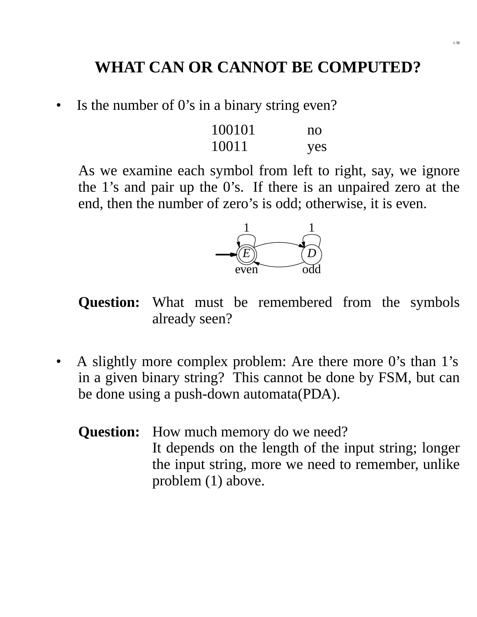# **WHAT CAN OR CANNOT BE COMPUTED?**

• Is the number of  $0$ 's in a binary string even?

| 100101 | no  |
|--------|-----|
| 10011  | yes |

As we examine each symbol from left to right, say, we ignore the 1's and pair up the 0's. If there is an unpaired zero at the end, then the number of zero's is odd; otherwise, it is even.



**Question:** What must be remembered from the symbols already seen?

• A slightly more complex problem: Are there more 0's than 1's in a given binary string? This cannot be done by FSM, but can be done using a push-down automata(PDA).

**Question:** How much memory do we need? It depends on the length of the input string; longer the input string, more we need to remember, unlike problem (1) above.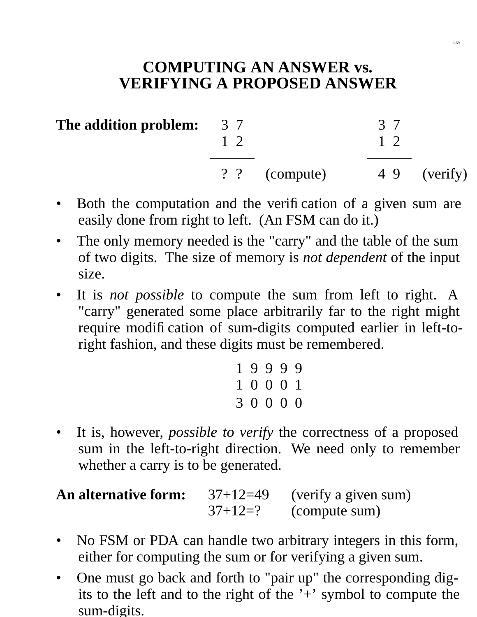## **COMPUTING AN ANSWER vs. VERIFYING A PROPOSED ANSWER**

| The addition problem: | 37<br>$1\,2$ |               | 37<br>$1\,2$ |              |
|-----------------------|--------------|---------------|--------------|--------------|
|                       |              | ? ? (compute) |              | 4 9 (verify) |

- Both the computation and the verification of a given sum are easily done from right to left. (An FSM can do it.)
- The only memory needed is the "carry" and the table of the sum of two digits. The size of memory is *not dependent* of the input size.
- It is *not possible* to compute the sum from left to right. A "carry" generated some place arbitrarily far to the right might require modification of sum-digits computed earlier in left-toright fashion, and these digits must be remembered.

| 19999                  |  |  |
|------------------------|--|--|
| 1 0 0 0 1              |  |  |
| $\overline{3}$ 0 0 0 0 |  |  |

• It is, however, *possible to verify* the correctness of a proposed sum in the left-to-right direction. We need only to remember whether a carry is to be generated.

| <b>An alternative form:</b> | $37+12=49$ | (verify a given sum) |
|-----------------------------|------------|----------------------|
|                             | $37+12=?$  | (compute sum)        |

- No FSM or PDA can handle two arbitrary integers in this form, either for computing the sum or for verifying a given sum.
- One must go back and forth to "pair up" the corresponding digits to the left and to the right of the  $+$  symbol to compute the sum-digits.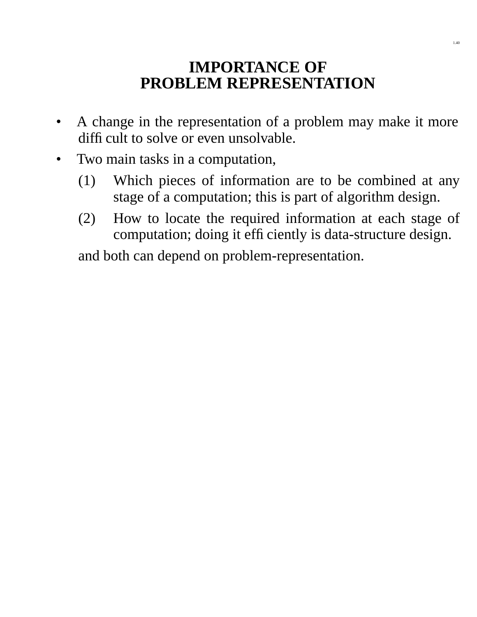## **IMPORTANCE OF PROBLEM REPRESENTATION**

- A change in the representation of a problem may make it more difficult to solve or even unsolvable.
- Two main tasks in a computation,
	- (1) Which pieces of information are to be combined at any stage of a computation; this is part of algorithm design.
	- (2) How to locate the required information at each stage of computation; doing it efficiently is data-structure design.

and both can depend on problem-representation.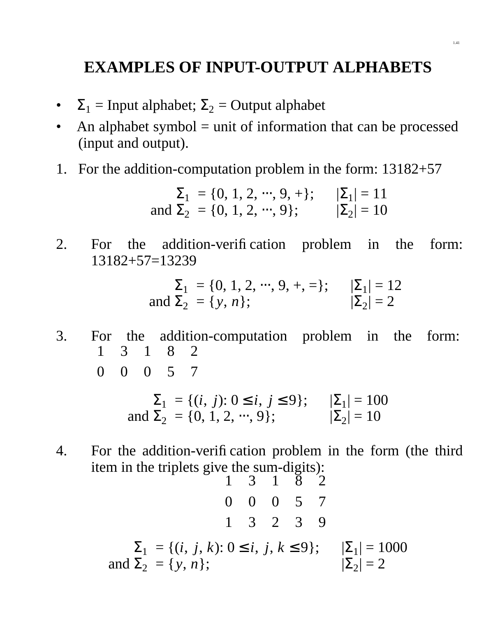## **EXAMPLES OF INPUT-OUTPUT ALPHABETS**

- $\Sigma_1$  = Input alphabet;  $\Sigma_2$  = Output alphabet
- An alphabet symbol  $=$  unit of information that can be processed (input and output).
- 1. For the addition-computation problem in the form: 13182+57

$$
\Sigma_1 = \{0, 1, 2, \dots, 9, +\}; \qquad |\Sigma_1| = 11
$$
  
and  $\Sigma_2 = \{0, 1, 2, \dots, 9\}; \qquad |\Sigma_2| = 10$ 

2. For the addition-verification problem in the form: 13182+57=13239

$$
\Sigma_1 = \{0, 1, 2, \dots, 9, +, =\}; \qquad |\Sigma_1| = 12
$$
  
and  $\Sigma_2 = \{y, n\}; \qquad |\Sigma_2| = 2$ 

3. For the addition-computation problem in the form:  $\big($  $\setminus$ 1 0  $\overline{a}$  $\bigg)$  $\big($  $\setminus$ 3 0  $\overline{a}$  $\big)$  $\big($  $\setminus$ 1 0  $\overline{\phantom{a}}$  $\big)$  $\big($  $\setminus$ 8 5  $\overline{\phantom{a}}$  $\overline{\phantom{a}}$  $\big($  $\setminus$ 2 7  $\overline{a}$  $\overline{\phantom{a}}$ 

$$
\Sigma_1 = \{ (i, j): 0 \le i, j \le 9 \}; \qquad |\Sigma_1| = 100
$$
  
and  $\Sigma_2 = \{ 0, 1, 2, ..., 9 \}; \qquad |\Sigma_2| = 10$ 

4. For the addition-verification problem in the form (the third item in the triplets give the sum-digits):

$$
\binom{1}{0} \binom{3}{0} \binom{1}{0} \binom{8}{3} \binom{2}{7}
$$
  
\n
$$
\sum_{1} = \{(i, j, k): 0 \le i, j, k \le 9\}; \quad |\Sigma_{1}| = 1000
$$
  
\nand  $\Sigma_{2} = \{y, n\}; \quad |\Sigma_{2}| = 2$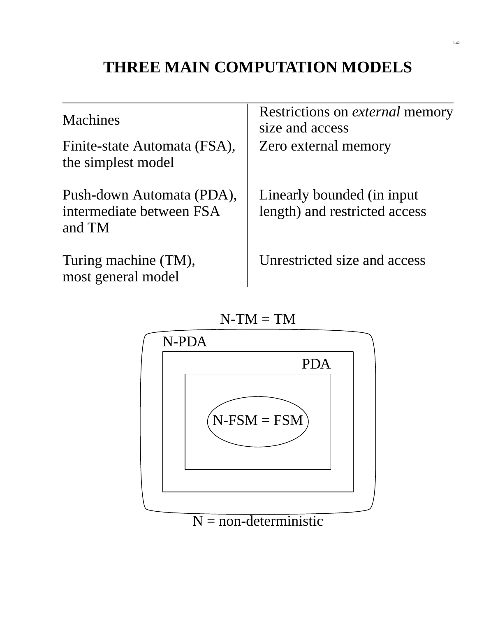# **THREE MAIN COMPUTATION MODELS**

| <b>Machines</b>                                                 | Restrictions on external memory<br>size and access           |
|-----------------------------------------------------------------|--------------------------------------------------------------|
| Finite-state Automata (FSA),<br>the simplest model              | Zero external memory                                         |
| Push-down Automata (PDA),<br>intermediate between FSA<br>and TM | Linearly bounded (in input)<br>length) and restricted access |
| Turing machine (TM),<br>most general model                      | Unrestricted size and access                                 |



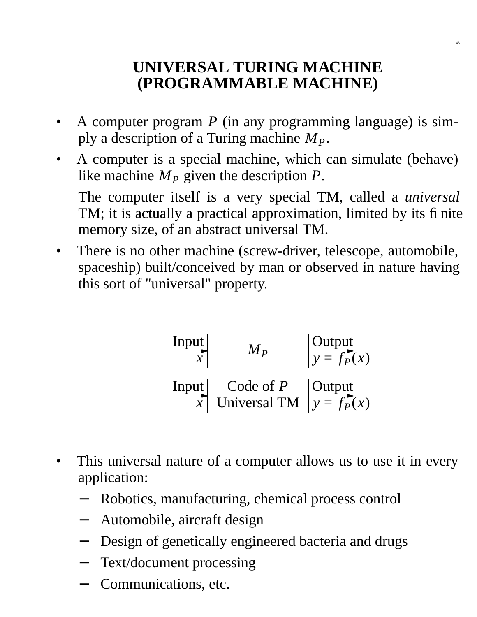## **UNIVERSAL TURING MACHINE (PROGRAMMABLE MACHINE)**

- A computer program *P* (in any programming language) is simply a description of a Turing machine *MP*.
- A computer is a special machine, which can simulate (behave) like machine  $M<sub>P</sub>$  given the description  $P$ .

The computer itself is a very special TM, called a *universal* TM; it is actually a practical approximation, limited by its finite memory size, of an abstract universal TM.

• There is no other machine (screw-driver, telescope, automobile, spaceship) built/conceived by man or observed in nature having this sort of "universal" property.

| Input | $M_P$        | Output       |
|-------|--------------|--------------|
| Input | $y = f_P(x)$ |              |
| Input | Code of P    | Output       |
| $x$   | Universal TM | $y = f_P(x)$ |

- This universal nature of a computer allows us to use it in every application:
	- Robotics, manufacturing, chemical process control
	- − Automobile, aircraft design
	- Design of genetically engineered bacteria and drugs
	- Text/document processing
	- − Communications, etc.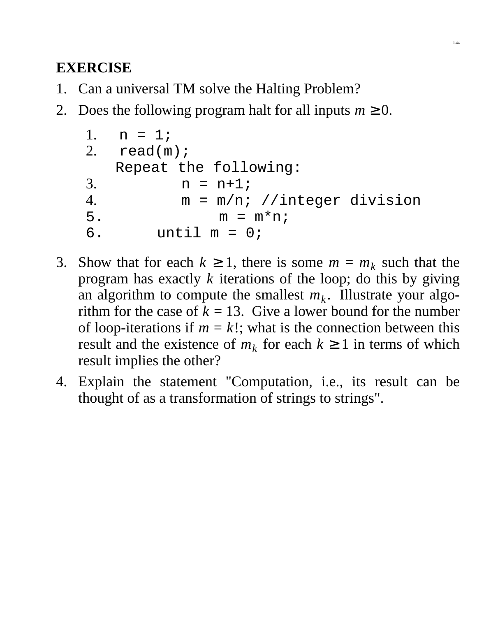- 1. Can a universal TM solve the Halting Problem?
- 2. Does the following program halt for all inputs  $m \geq 0$ .

```
1. n=1;2. read(m);Repeat the following:
3. n = n+1;4. m=m/n; //integer division
5. m = m*ni;
6. until m = 0;
```
- 3. Show that for each  $k \ge 1$ , there is some  $m = m_k$  such that the program has exactly *k* iterations of the loop; do this by giving an algorithm to compute the smallest  $m_k$ . Illustrate your algorithm for the case of  $\bar{k} = 13$ . Give a lower bound for the number of loop-iterations if  $m = k!$ ; what is the connection between this result and the existence of  $m_k$  for each  $k \ge 1$  in terms of which result implies the other?
- 4. Explain the statement "Computation, i.e., its result can be thought of as a transformation of strings to strings".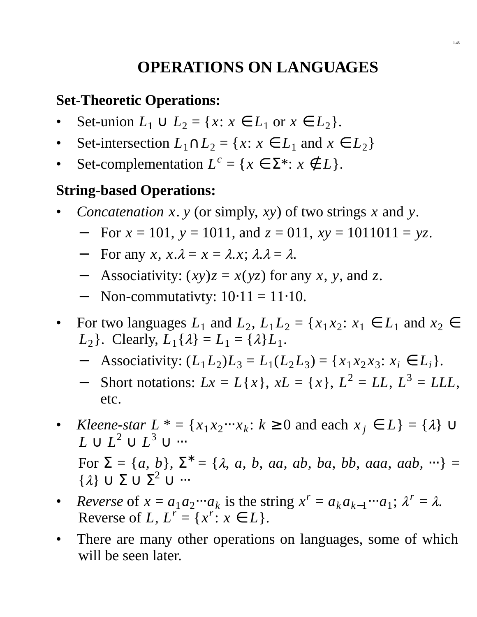# **OPERATIONS ON LANGUAGES**

### **Set-Theoretic Operations:**

- Set-union  $L_1$  ∪  $L_2$  = { $x: x \in L_1$  or  $x \in L_2$  }.
- Set-intersection  $L_1 \cap L_2 = \{x : x \in L_1 \text{ and } x \in L_2\}$
- Set-complementation  $L^c = \{x \in \Sigma^* : x \notin L\}.$

#### **String-based Operations:**

- *Concatenation x*. *y* (or simply, *xy*) of two strings *x* and *y*.
	- − For *x* = 101, *y* = 1011, and *z* = 011, *xy* = 1011011 = *yz*.
	- $-$  For any *x*, *x*. $λ = x = λ$ .*x*;  $λ.λ = λ$ .
	- − Associativity: (*xy*)*z* = *x*(*yz*) for any *x*, *y*, and *z*.
	- $\text{-}$  Non-commutativty:  $10·11 = 11·10$ .
- For two languages  $L_1$  and  $L_2$ ,  $L_1 L_2 = \{x_1 x_2 : x_1 \in L_1 \text{ and } x_2 \in L_2\}$ *L*<sub>2</sub> }. Clearly,  $L_1\{\lambda\} = L_1 = \{\lambda\}L_1$ .
	- − Associativity:  $(L_1 L_2) L_3 = L_1(L_2 L_3) = \{x_1 x_2 x_3 : x_i \in L_i\}.$
	- $-$  Short notations:  $Lx = L\{x\}$ ,  $xL = \{x\}$ ,  $L^2 = LL$ ,  $L^3 = LLL$ , etc.
- *Kleene-star*  $L^* = \{x_1 x_2 \cdots x_k : k \ge 0 \text{ and each } x_j \in L\} = \{\lambda\} \cup$  $L \cup L^2 \cup L^3 \cup \cdots$

 $For \ \Sigma = \{a, b\}, \ \Sigma^* = \{\lambda, a, b, aa, ab, ba, bb, aaa, aab, \cdots\} =$  $\{\lambda\} \cup \Sigma \cup \Sigma^2 \cup \cdots$ 

- *Reverse* of  $x = a_1 a_2 \cdots a_k$  is the string  $x^r = a_k a_{k-1} \cdots a_1$ ;  $\lambda^r = \lambda$ . Reverse of *L*,  $L^r = \{x^r : x \in L\}.$
- There are many other operations on languages, some of which will be seen later.